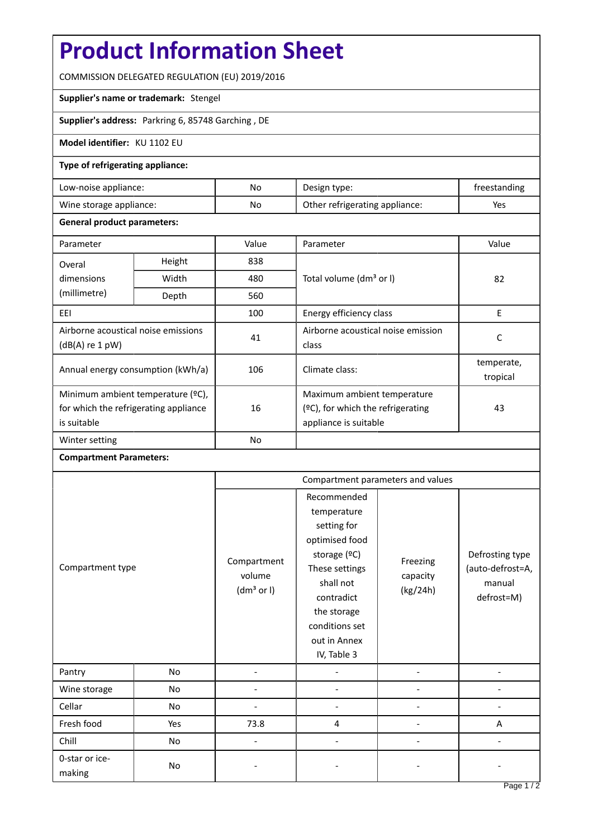# **Product Information Sheet**

COMMISSION DELEGATED REGULATION (EU) 2019/2016

#### **Supplier's name or trademark:** Stengel

## **Supplier's address:** Parkring 6, 85748 Garching , DE

#### **Model identifier:** KU 1102 EU

### **Type of refrigerating appliance:**

| Low-noise appliance:    | No | Design type:                   | freestanding |
|-------------------------|----|--------------------------------|--------------|
| Wine storage appliance: | No | Other refrigerating appliance: | Yes          |

#### **General product parameters:**

| Parameter                                                |               | Value     | Parameter                                   | Value                  |
|----------------------------------------------------------|---------------|-----------|---------------------------------------------|------------------------|
| Overal                                                   | Height<br>838 |           |                                             |                        |
| dimensions<br>(millimetre)                               | Width         | 480       | Total volume (dm <sup>3</sup> or I)         | 82                     |
|                                                          | Depth         | 560       |                                             |                        |
| EEI                                                      |               | 100       | Energy efficiency class                     | E                      |
| Airborne acoustical noise emissions<br>$(dB(A)$ re 1 pW) |               | 41        | Airborne acoustical noise emission<br>class | C                      |
| Annual energy consumption (kWh/a)                        |               | 106       | Climate class:                              | temperate,<br>tropical |
| Minimum ambient temperature (°C),                        |               |           | Maximum ambient temperature                 |                        |
| 16<br>for which the refrigerating appliance              |               |           | $(°C)$ , for which the refrigerating        | 43                     |
| is suitable                                              |               |           | appliance is suitable                       |                        |
| Winter setting                                           |               | <b>No</b> |                                             |                        |

# **Compartment Parameters:**

| Compartment type         |     | Compartment parameters and values               |                                                                                                                                                                                          |                                  |                                                             |
|--------------------------|-----|-------------------------------------------------|------------------------------------------------------------------------------------------------------------------------------------------------------------------------------------------|----------------------------------|-------------------------------------------------------------|
|                          |     | Compartment<br>volume<br>(dm <sup>3</sup> or I) | Recommended<br>temperature<br>setting for<br>optimised food<br>storage (°C)<br>These settings<br>shall not<br>contradict<br>the storage<br>conditions set<br>out in Annex<br>IV, Table 3 | Freezing<br>capacity<br>(kg/24h) | Defrosting type<br>(auto-defrost=A,<br>manual<br>defrost=M) |
| Pantry                   | No  | ۰                                               |                                                                                                                                                                                          |                                  |                                                             |
| Wine storage             | No  |                                                 |                                                                                                                                                                                          |                                  |                                                             |
| Cellar                   | No  |                                                 |                                                                                                                                                                                          |                                  |                                                             |
| Fresh food               | Yes | 73.8                                            | 4                                                                                                                                                                                        |                                  | A                                                           |
| Chill                    | No  |                                                 |                                                                                                                                                                                          |                                  |                                                             |
| 0-star or ice-<br>making | No  |                                                 |                                                                                                                                                                                          |                                  |                                                             |